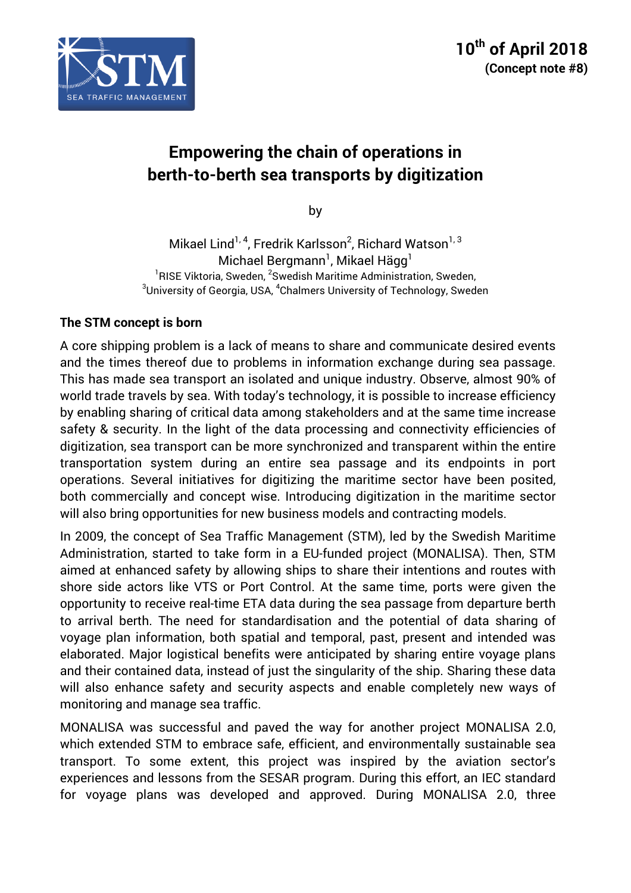

# **Empowering the chain of operations in berth-to-berth sea transports by digitization**

by

Mikael Lind<sup>1, 4</sup>, Fredrik Karlsson<sup>2</sup>, Richard Watson<sup>1, 3</sup> Michael Bergmann $^{\rm l}$ , Mikael Hägg $^{\rm l}$ <sup>1</sup>RISE Viktoria, Sweden, <sup>2</sup>Swedish Maritime Administration, Sweden, <sup>3</sup>University of Coorgie, USA, <sup>4</sup>Chelmore University of Technology, Swedish University of Georgia, USA, <sup>4</sup>Chalmers University of Technology, Sweden

## **The STM concept is born**

A core shipping problem is a lack of means to share and communicate desired events and the times thereof due to problems in information exchange during sea passage. This has made sea transport an isolated and unique industry. Observe, almost 90% of world trade travels by sea. With today's technology, it is possible to increase efficiency by enabling sharing of critical data among stakeholders and at the same time increase safety & security. In the light of the data processing and connectivity efficiencies of digitization, sea transport can be more synchronized and transparent within the entire transportation system during an entire sea passage and its endpoints in port operations. Several initiatives for digitizing the maritime sector have been posited, both commercially and concept wise. Introducing digitization in the maritime sector will also bring opportunities for new business models and contracting models.

In 2009, the concept of Sea Traffic Management (STM), led by the Swedish Maritime Administration, started to take form in a EU-funded project (MONALISA). Then, STM aimed at enhanced safety by allowing ships to share their intentions and routes with shore side actors like VTS or Port Control. At the same time, ports were given the opportunity to receive real-time ETA data during the sea passage from departure berth to arrival berth. The need for standardisation and the potential of data sharing of voyage plan information, both spatial and temporal, past, present and intended was elaborated. Major logistical benefits were anticipated by sharing entire voyage plans and their contained data, instead of just the singularity of the ship. Sharing these data will also enhance safety and security aspects and enable completely new ways of monitoring and manage sea traffic.

MONALISA was successful and paved the way for another project MONALISA 2.0, which extended STM to embrace safe, efficient, and environmentally sustainable sea transport. To some extent, this project was inspired by the aviation sector's experiences and lessons from the SESAR program. During this effort, an IEC standard for voyage plans was developed and approved. During MONALISA 2.0, three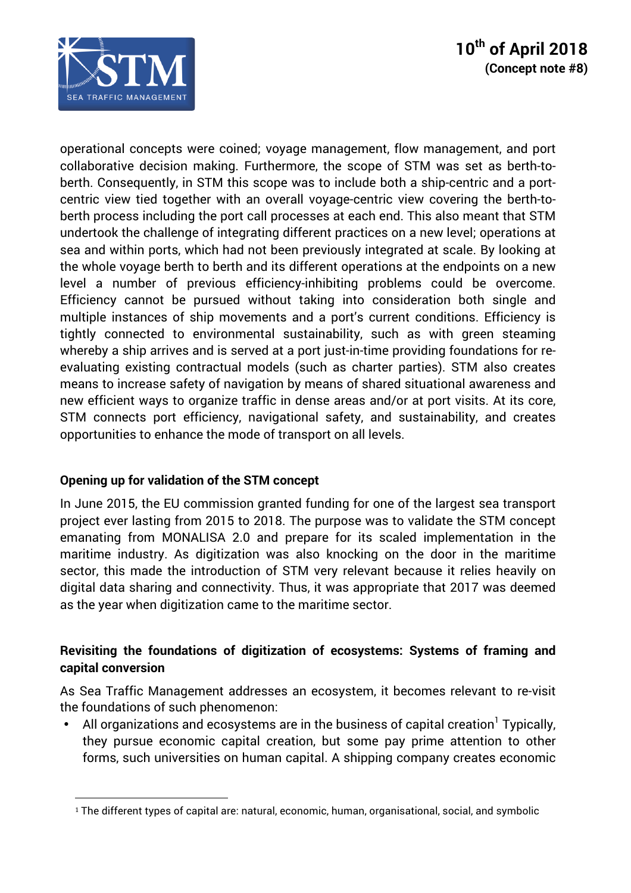

operational concepts were coined; voyage management, flow management, and port collaborative decision making. Furthermore, the scope of STM was set as berth-toberth. Consequently, in STM this scope was to include both a ship-centric and a portcentric view tied together with an overall voyage-centric view covering the berth-toberth process including the port call processes at each end. This also meant that STM undertook the challenge of integrating different practices on a new level; operations at sea and within ports, which had not been previously integrated at scale. By looking at the whole voyage berth to berth and its different operations at the endpoints on a new level a number of previous efficiency-inhibiting problems could be overcome. Efficiency cannot be pursued without taking into consideration both single and multiple instances of ship movements and a port's current conditions. Efficiency is tightly connected to environmental sustainability, such as with green steaming whereby a ship arrives and is served at a port just-in-time providing foundations for reevaluating existing contractual models (such as charter parties). STM also creates means to increase safety of navigation by means of shared situational awareness and new efficient ways to organize traffic in dense areas and/or at port visits. At its core, STM connects port efficiency, navigational safety, and sustainability, and creates opportunities to enhance the mode of transport on all levels.

## **Opening up for validation of the STM concept**

 

In June 2015, the EU commission granted funding for one of the largest sea transport project ever lasting from 2015 to 2018. The purpose was to validate the STM concept emanating from MONALISA 2.0 and prepare for its scaled implementation in the maritime industry. As digitization was also knocking on the door in the maritime sector, this made the introduction of STM very relevant because it relies heavily on digital data sharing and connectivity. Thus, it was appropriate that 2017 was deemed as the year when digitization came to the maritime sector.

## **Revisiting the foundations of digitization of ecosystems: Systems of framing and capital conversion**

As Sea Traffic Management addresses an ecosystem, it becomes relevant to re-visit the foundations of such phenomenon:

All organizations and ecosystems are in the business of capital creation<sup>1</sup> Typically, they pursue economic capital creation, but some pay prime attention to other forms, such universities on human capital. A shipping company creates economic

<sup>&</sup>lt;sup>1</sup> The different types of capital are: natural, economic, human, organisational, social, and symbolic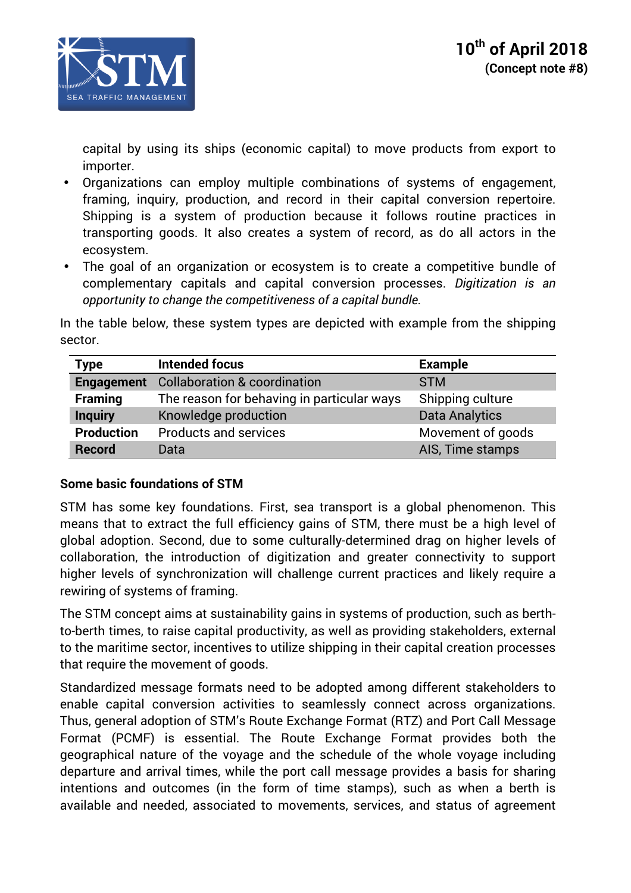

capital by using its ships (economic capital) to move products from export to importer.

- Organizations can employ multiple combinations of systems of engagement, framing, inquiry, production, and record in their capital conversion repertoire. Shipping is a system of production because it follows routine practices in transporting goods. It also creates a system of record, as do all actors in the ecosystem.
- The goal of an organization or ecosystem is to create a competitive bundle of complementary capitals and capital conversion processes. *Digitization is an opportunity to change the competitiveness of a capital bundle.*

In the table below, these system types are depicted with example from the shipping sector.

| <b>Type</b>       | <b>Intended focus</b>                      | <b>Example</b>        |
|-------------------|--------------------------------------------|-----------------------|
| <b>Engagement</b> | <b>Collaboration &amp; coordination</b>    | <b>STM</b>            |
| <b>Framing</b>    | The reason for behaving in particular ways | Shipping culture      |
| <b>Inquiry</b>    | Knowledge production                       | <b>Data Analytics</b> |
| <b>Production</b> | <b>Products and services</b>               | Movement of goods     |
| <b>Record</b>     | Data                                       | AIS, Time stamps      |

## **Some basic foundations of STM**

STM has some key foundations. First, sea transport is a global phenomenon. This means that to extract the full efficiency gains of STM, there must be a high level of global adoption. Second, due to some culturally-determined drag on higher levels of collaboration, the introduction of digitization and greater connectivity to support higher levels of synchronization will challenge current practices and likely require a rewiring of systems of framing.

The STM concept aims at sustainability gains in systems of production, such as berthto-berth times, to raise capital productivity, as well as providing stakeholders, external to the maritime sector, incentives to utilize shipping in their capital creation processes that require the movement of goods.

Standardized message formats need to be adopted among different stakeholders to enable capital conversion activities to seamlessly connect across organizations. Thus, general adoption of STM's Route Exchange Format (RTZ) and Port Call Message Format (PCMF) is essential. The Route Exchange Format provides both the geographical nature of the voyage and the schedule of the whole voyage including departure and arrival times, while the port call message provides a basis for sharing intentions and outcomes (in the form of time stamps), such as when a berth is available and needed, associated to movements, services, and status of agreement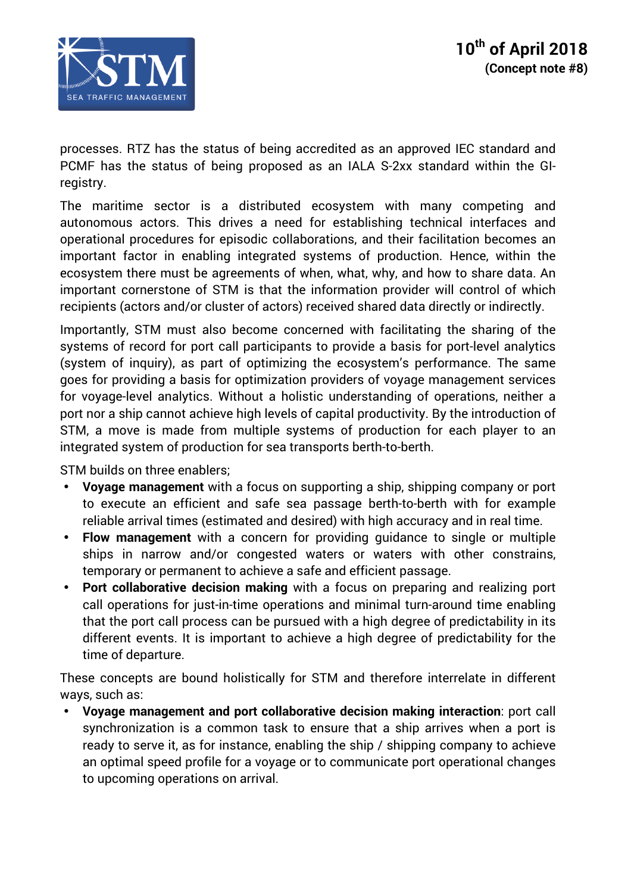

processes. RTZ has the status of being accredited as an approved IEC standard and PCMF has the status of being proposed as an IALA S-2xx standard within the GIregistry.

The maritime sector is a distributed ecosystem with many competing and autonomous actors. This drives a need for establishing technical interfaces and operational procedures for episodic collaborations, and their facilitation becomes an important factor in enabling integrated systems of production. Hence, within the ecosystem there must be agreements of when, what, why, and how to share data. An important cornerstone of STM is that the information provider will control of which recipients (actors and/or cluster of actors) received shared data directly or indirectly.

Importantly, STM must also become concerned with facilitating the sharing of the systems of record for port call participants to provide a basis for port-level analytics (system of inquiry), as part of optimizing the ecosystem's performance. The same goes for providing a basis for optimization providers of voyage management services for voyage-level analytics. Without a holistic understanding of operations, neither a port nor a ship cannot achieve high levels of capital productivity. By the introduction of STM, a move is made from multiple systems of production for each player to an integrated system of production for sea transports berth-to-berth.

STM builds on three enablers;

- **Voyage management** with a focus on supporting a ship, shipping company or port to execute an efficient and safe sea passage berth-to-berth with for example reliable arrival times (estimated and desired) with high accuracy and in real time.
- **Flow management** with a concern for providing guidance to single or multiple ships in narrow and/or congested waters or waters with other constrains, temporary or permanent to achieve a safe and efficient passage.
- **Port collaborative decision making** with a focus on preparing and realizing port call operations for just-in-time operations and minimal turn-around time enabling that the port call process can be pursued with a high degree of predictability in its different events. It is important to achieve a high degree of predictability for the time of departure.

These concepts are bound holistically for STM and therefore interrelate in different ways, such as:

• **Voyage management and port collaborative decision making interaction**: port call synchronization is a common task to ensure that a ship arrives when a port is ready to serve it, as for instance, enabling the ship / shipping company to achieve an optimal speed profile for a voyage or to communicate port operational changes to upcoming operations on arrival.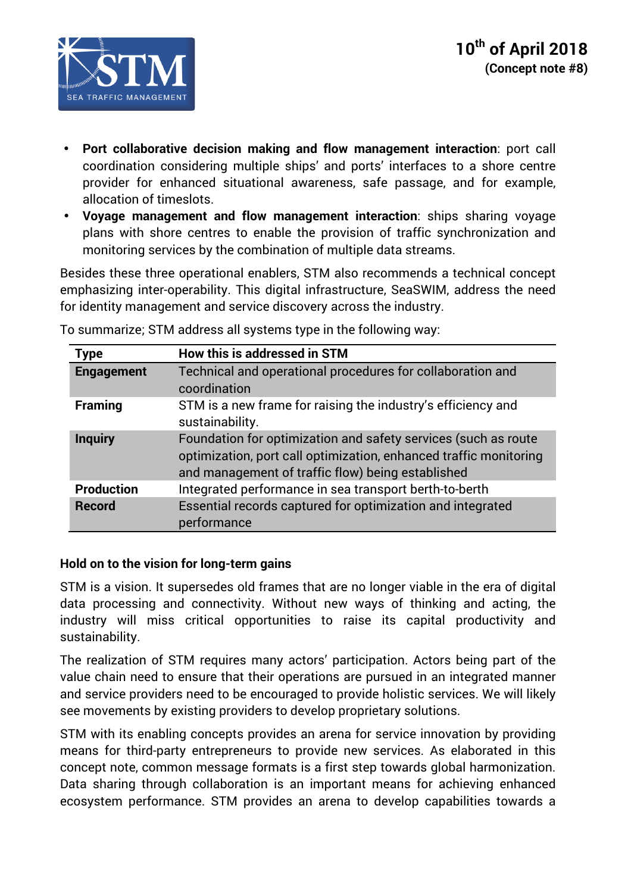

- **Port collaborative decision making and flow management interaction**: port call coordination considering multiple ships' and ports' interfaces to a shore centre provider for enhanced situational awareness, safe passage, and for example, allocation of timeslots.
- **Voyage management and flow management interaction**: ships sharing voyage plans with shore centres to enable the provision of traffic synchronization and monitoring services by the combination of multiple data streams.

Besides these three operational enablers, STM also recommends a technical concept emphasizing inter-operability. This digital infrastructure, SeaSWIM, address the need for identity management and service discovery across the industry.

| <b>Type</b>       | How this is addressed in STM                                                                                                                                                             |
|-------------------|------------------------------------------------------------------------------------------------------------------------------------------------------------------------------------------|
| <b>Engagement</b> | Technical and operational procedures for collaboration and<br>coordination                                                                                                               |
| <b>Framing</b>    | STM is a new frame for raising the industry's efficiency and<br>sustainability.                                                                                                          |
| <b>Inquiry</b>    | Foundation for optimization and safety services (such as route<br>optimization, port call optimization, enhanced traffic monitoring<br>and management of traffic flow) being established |
| <b>Production</b> | Integrated performance in sea transport berth-to-berth                                                                                                                                   |
| <b>Record</b>     | Essential records captured for optimization and integrated<br>performance                                                                                                                |

To summarize; STM address all systems type in the following way:

## **Hold on to the vision for long-term gains**

STM is a vision. It supersedes old frames that are no longer viable in the era of digital data processing and connectivity. Without new ways of thinking and acting, the industry will miss critical opportunities to raise its capital productivity and sustainability.

The realization of STM requires many actors' participation. Actors being part of the value chain need to ensure that their operations are pursued in an integrated manner and service providers need to be encouraged to provide holistic services. We will likely see movements by existing providers to develop proprietary solutions.

STM with its enabling concepts provides an arena for service innovation by providing means for third-party entrepreneurs to provide new services. As elaborated in this concept note, common message formats is a first step towards global harmonization. Data sharing through collaboration is an important means for achieving enhanced ecosystem performance. STM provides an arena to develop capabilities towards a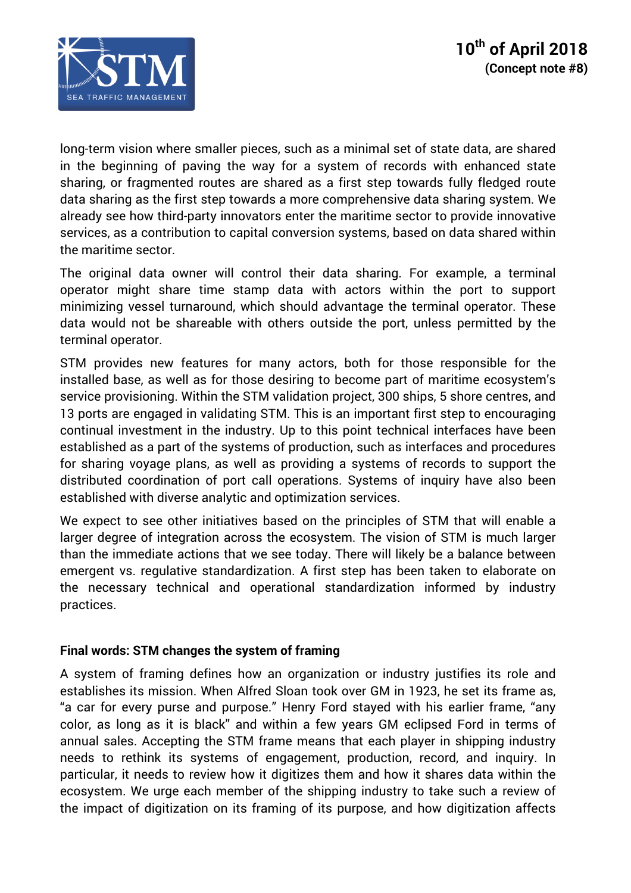

long-term vision where smaller pieces, such as a minimal set of state data, are shared in the beginning of paving the way for a system of records with enhanced state sharing, or fragmented routes are shared as a first step towards fully fledged route data sharing as the first step towards a more comprehensive data sharing system. We already see how third-party innovators enter the maritime sector to provide innovative services, as a contribution to capital conversion systems, based on data shared within the maritime sector.

The original data owner will control their data sharing. For example, a terminal operator might share time stamp data with actors within the port to support minimizing vessel turnaround, which should advantage the terminal operator. These data would not be shareable with others outside the port, unless permitted by the terminal operator.

STM provides new features for many actors, both for those responsible for the installed base, as well as for those desiring to become part of maritime ecosystem's service provisioning. Within the STM validation project, 300 ships, 5 shore centres, and 13 ports are engaged in validating STM. This is an important first step to encouraging continual investment in the industry. Up to this point technical interfaces have been established as a part of the systems of production, such as interfaces and procedures for sharing voyage plans, as well as providing a systems of records to support the distributed coordination of port call operations. Systems of inquiry have also been established with diverse analytic and optimization services.

We expect to see other initiatives based on the principles of STM that will enable a larger degree of integration across the ecosystem. The vision of STM is much larger than the immediate actions that we see today. There will likely be a balance between emergent vs. regulative standardization. A first step has been taken to elaborate on the necessary technical and operational standardization informed by industry practices.

## **Final words: STM changes the system of framing**

A system of framing defines how an organization or industry justifies its role and establishes its mission. When Alfred Sloan took over GM in 1923, he set its frame as, "a car for every purse and purpose." Henry Ford stayed with his earlier frame, "any color, as long as it is black" and within a few years GM eclipsed Ford in terms of annual sales. Accepting the STM frame means that each player in shipping industry needs to rethink its systems of engagement, production, record, and inquiry. In particular, it needs to review how it digitizes them and how it shares data within the ecosystem. We urge each member of the shipping industry to take such a review of the impact of digitization on its framing of its purpose, and how digitization affects